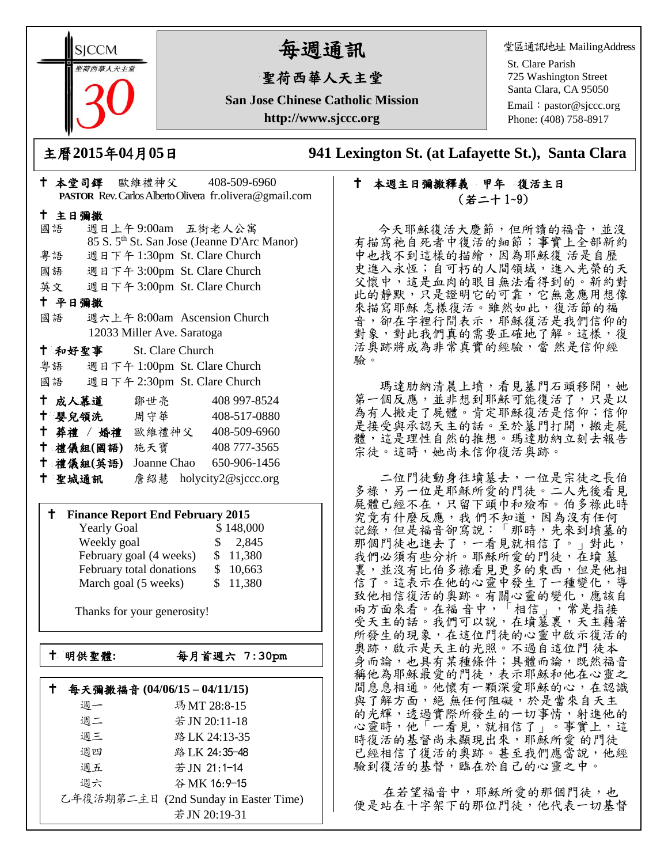**SICCM** 智荷西華人天主堂

# 每週通訊

## 聖荷西華人天主堂

**San Jose Chinese Catholic Mission http://www.sjccc.org**

堂區通訊地址 MailingAddress

St. Clare Parish 725 Washington Street Santa Clara, CA 95050

Email: [pastor@sjccc.org](mailto:pastor@sjccc.org) Phone: (408) 758-8917

主曆**2015**年**0**4月**05**日 **941 Lexington St. (at Lafayette St.), Santa Clara** 

## 十 本週主日彌撒釋義 甲年 復活主日 (若二十 1~9)

 今天耶穌復活大慶節,但所讀的福音,並沒 有描寫祂自死者中復活的細節;事實上全部新約 中也找不到這樣的描繪,因為耶穌復 活是自歷 史進入永恆;自可朽的人間領域,進入光榮的天 父懷中,這是血肉的眼目無法看得到的。新約對 此的靜默,只是證明它的可靠,它無意應用想像 來描寫耶穌 怎樣復活。雖然如此,復活節的福 音,卻在字裡行間表示,耶穌復活是我們信仰的 對象,對此我們真的需要正確地了解。這樣,復 活奧跡將成為非常真實的經驗,當 然是信仰經 驗。

瑪達肋納清晨上墳,看見墓門石頭移開,她 第一個反應,並非想到耶穌可能復活了,只是以 為有人搬走了屍體。肯定耶穌復活是信仰;信仰 是接受與承認天主的話。至於墓門打開,搬走屍 體,這是理性自然的推想。瑪達肋納立刻去報告 宗徒。這時,她尚未信仰復活奧跡。

 二位門徒動身往墳墓去,一位是宗徒之長伯 多祿,另一位是耶穌所愛的門徒。二人先後看見 屍體已經不在,只留下頭巾和殮布。伯多祿此時 究竟有什麼反應,我們不知道,因為沒有任何 記錄,但是福音卻寫說:「那時,先來到墳墓的 那個門徒也進去了,一看見就相信了。」對此, 我們必須有些分析。耶穌所愛的門徒, 在墳 墓 裏,並沒有比伯多祿看見更多的東西,但是他相 信了。這表示在他的心靈中發生了一種變化,導 致他相信復活的奧跡。有關心靈的變化,應該自 兩方面來看。在福 音中,「相信」,常是指接 受天主的話。我們可以說,在墳墓裏,天主藉著 所發生的現象,在這位門徒的心靈中啟示復活的 奥跡,啟示是天主的光照。不過自這位門徒本 身而論,也具有某種條件;具體而論,既然福音 稱他為耶穌最愛的門徒,表示耶穌和他在心靈之 間息息相通。他懷有一顆深愛耶穌的心,在認識 與了解方面,絕無任何阻礙,於是當來自天主 的光輝,透過實際所發生的一切事情,射進他的 心靈時,他「一看見,就相信了」。事實上,這 時復活的基督尚未顯現出來,耶穌所愛的門徒 已經相信了復活的奧跡。甚至我們應當說,他經 驗到復活的基督,臨在於自己的心靈之中。

在若望福音中,耶穌所愛的那個門徒,也 便是站在十字架下的那位門徒,他代表一切基督

| PASTOR Rev. Carlos Alberto Olivera fr. olivera@gmail.com |               |                            |                                                         |  |  |  |
|----------------------------------------------------------|---------------|----------------------------|---------------------------------------------------------|--|--|--|
| 十 主日彌撒                                                   |               |                            |                                                         |  |  |  |
|                                                          | 國語            |                            | 週日上午9:00am 五街老人公寓                                       |  |  |  |
|                                                          |               |                            | 85 S. 5 <sup>th</sup> St. San Jose (Jeanne D'Arc Manor) |  |  |  |
|                                                          | 粤語            |                            | 週日下午 1:30pm St. Clare Church                            |  |  |  |
|                                                          | 國語            |                            | 週日下午 3:00pm St. Clare Church                            |  |  |  |
|                                                          |               |                            | 英文 週日下午 3:00pm St. Clare Church                         |  |  |  |
| 十 平日彌撒                                                   |               |                            |                                                         |  |  |  |
|                                                          | 國語            |                            | 週六上午 8:00am Ascension Church                            |  |  |  |
|                                                          |               | 12033 Miller Ave. Saratoga |                                                         |  |  |  |
|                                                          |               | † 和好聖事 St. Clare Church    |                                                         |  |  |  |
|                                                          |               |                            | 粤語 週日下午 1:00pm St. Clare Church                         |  |  |  |
|                                                          |               |                            | 國語 週日下午 2:30pm St. Clare Church                         |  |  |  |
|                                                          | 十 成人慕道        | 鄒世亮                        | 408 997-8524                                            |  |  |  |
|                                                          |               | ↑ 嬰兒領洗──周守華──              | 408-517-0880                                            |  |  |  |
|                                                          |               |                            | † 葬禮 / 婚禮 歐維禮神父 408-509-6960                            |  |  |  |
|                                                          | 十 禮儀組(國語) 施天寶 |                            | 408 777-3565                                            |  |  |  |
|                                                          |               |                            | † 禮儀組(英語) Joanne Chao 650-906-1456                      |  |  |  |
|                                                          | 十 聖城通訊        |                            | 詹紹慧 holycity2@sjccc.org                                 |  |  |  |
|                                                          |               |                            |                                                         |  |  |  |

十 本堂司鐸 歐維禮神父 408-509-6960

#### **Finance Report End February 2015**

| <b>Yearly Goal</b>       | \$148,000 |
|--------------------------|-----------|
| Weekly goal              | \$2,845   |
| February goal (4 weeks)  | \$11,380  |
| February total donations | \$10,663  |
| March goal (5 weeks)     | \$11,380  |

Thanks for your generosity!

└<br>├

明供聖體**:**每月首週六 **7:30pm**

|    | 每天彌撒福音 (04/06/15-04/11/15)            |
|----|---------------------------------------|
| 週一 | 瑪MT 28:8-15                           |
| 週二 | 若 JN 20:11-18                         |
| 週三 | 路 LK 24:13-35                         |
| 週四 | 路 LK 24:35-48                         |
| 週五 | 若 JN 21:1-14                          |
| 週六 | 谷 MK 16:9-15                          |
|    | 乙年復活期第二主日 (2nd Sunday in Easter Time) |
|    | 若 JN 20:19-31                         |